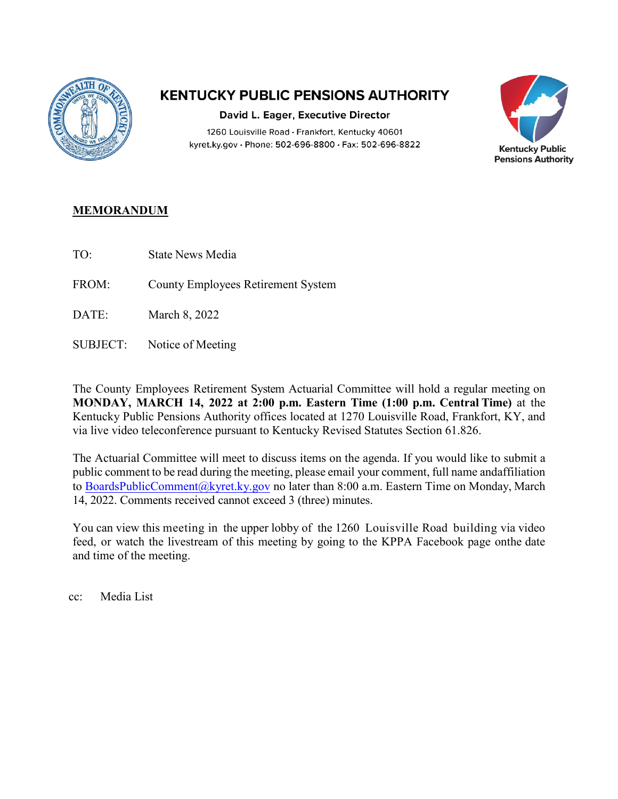

## **KENTUCKY PUBLIC PENSIONS AUTHORITY**

David L. Eager, Executive Director 1260 Louisville Road · Frankfort, Kentucky 40601 kyret.ky.gov · Phone: 502-696-8800 · Fax: 502-696-8822



## **MEMORANDUM**

- TO: State News Media
- FROM: County Employees Retirement System
- DATE: March 8, 2022
- SUBJECT: Notice of Meeting

The County Employees Retirement System Actuarial Committee will hold a regular meeting on **MONDAY, MARCH 14, 2022 at 2:00 p.m. Eastern Time (1:00 p.m. Central Time)** at the Kentucky Public Pensions Authority offices located at 1270 Louisville Road, Frankfort, KY, and via live video teleconference pursuant to Kentucky Revised Statutes Section 61.826.

The Actuarial Committee will meet to discuss items on the agenda. If you would like to submit a public comment to be read during the meeting, please email your comment, full name and affiliation to [BoardsPublicComment@kyret.ky.gov n](https://kyret.ky.gov/About/Pages/submit-public-meeting-comments.aspx)o later than 8:00 a.m. Eastern Time on Monday, March 14, 2022. Comments received cannot exceed 3 (three) minutes.

You can view this meeting in the upper lobby of the 1260 Louisville Road building via video feed, or watch the livestream of this meeting by going to the KPPA Facebook page on the date and time of the meeting.

cc: Media List